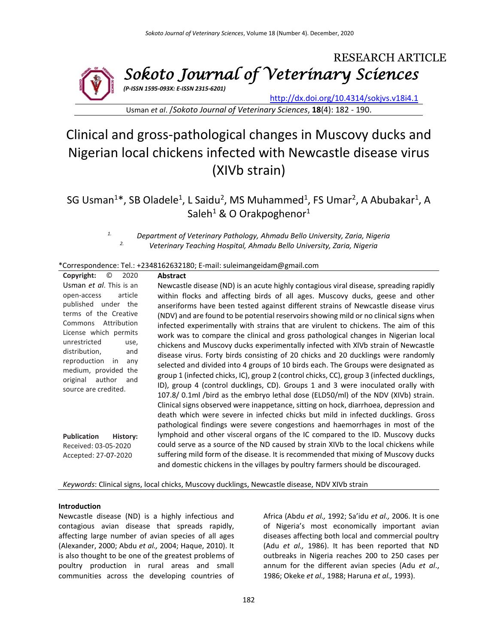

Usman *et al*. /*Sokoto Journal of Veterinary Sciences*, **18**(4): 182 - 190.

# Clinical and gross-pathological changes in Muscovy ducks and Nigerian local chickens infected with Newcastle disease virus (XIVb strain)

SG Usman<sup>1\*</sup>, SB Oladele<sup>1</sup>, L Saidu<sup>2</sup>, MS Muhammed<sup>1</sup>, FS Umar<sup>2</sup>, A Abubakar<sup>1</sup>, A Saleh<sup>1</sup> & O Orakpoghenor<sup>1</sup>

> *1. Department of Veterinary Pathology, Ahmadu Bello University, Zaria, Nigeria 2. Veterinary Teaching Hospital, Ahmadu Bello University, Zaria, Nigeria*

#### \*Correspondence: Tel.: +2348162632180; E-mail: suleimangeidam@gmail.com

| Copyright:<br>O<br>2020                                                                                                                                                                                                                                                                                        | <b>Abstract</b>                                                                                                                                                                                                                                                                                                                                                                                                                                                                                                                                                                                                                                                                                                                                                                                                                                                                                                                                                                                                                                                                                                                                              |
|----------------------------------------------------------------------------------------------------------------------------------------------------------------------------------------------------------------------------------------------------------------------------------------------------------------|--------------------------------------------------------------------------------------------------------------------------------------------------------------------------------------------------------------------------------------------------------------------------------------------------------------------------------------------------------------------------------------------------------------------------------------------------------------------------------------------------------------------------------------------------------------------------------------------------------------------------------------------------------------------------------------------------------------------------------------------------------------------------------------------------------------------------------------------------------------------------------------------------------------------------------------------------------------------------------------------------------------------------------------------------------------------------------------------------------------------------------------------------------------|
| Usman et al. This is an<br>article<br>open-access<br>published under the<br>terms of the Creative<br>Attribution<br>Commons<br>License which permits<br>unrestricted<br>use,<br>distribution,<br>and<br>reproduction<br>in<br>any<br>medium, provided the<br>original<br>author<br>and<br>source are credited. | Newcastle disease (ND) is an acute highly contagious viral disease, spreading rapidly<br>within flocks and affecting birds of all ages. Muscovy ducks, geese and other<br>anseriforms have been tested against different strains of Newcastle disease virus<br>(NDV) and are found to be potential reservoirs showing mild or no clinical signs when<br>infected experimentally with strains that are virulent to chickens. The aim of this<br>work was to compare the clinical and gross pathological changes in Nigerian local<br>chickens and Muscovy ducks experimentally infected with XIVb strain of Newcastle<br>disease virus. Forty birds consisting of 20 chicks and 20 ducklings were randomly<br>selected and divided into 4 groups of 10 birds each. The Groups were designated as<br>group 1 (infected chicks, IC), group 2 (control chicks, CC), group 3 (infected ducklings,<br>ID), group 4 (control ducklings, CD). Groups 1 and 3 were inoculated orally with<br>107.8/0.1ml /bird as the embryo lethal dose (ELD50/ml) of the NDV (XIVb) strain.<br>Clinical signs observed were inappetance, sitting on hock, diarrhoea, depression and |
| <b>Publication</b><br><b>History:</b><br>Received: 03-05-2020                                                                                                                                                                                                                                                  | death which were severe in infected chicks but mild in infected ducklings. Gross<br>pathological findings were severe congestions and haemorrhages in most of the<br>lymphoid and other visceral organs of the IC compared to the ID. Muscovy ducks<br>could serve as a source of the ND caused by strain XIVb to the local chickens while                                                                                                                                                                                                                                                                                                                                                                                                                                                                                                                                                                                                                                                                                                                                                                                                                   |
| Accepted: 27-07-2020                                                                                                                                                                                                                                                                                           | suffering mild form of the disease. It is recommended that mixing of Muscovy ducks<br>and domestic chickens in the villages by poultry farmers should be discouraged.                                                                                                                                                                                                                                                                                                                                                                                                                                                                                                                                                                                                                                                                                                                                                                                                                                                                                                                                                                                        |

*Keywords*: Clinical signs, local chicks, Muscovy ducklings, Newcastle disease, NDV XIVb strain

#### **Introduction**

Newcastle disease (ND) is a highly infectious and contagious avian disease that spreads rapidly, affecting large number of avian species of all ages (Alexander, 2000; Abdu *et al.,* 2004; Haque, 2010). It is also thought to be one of the greatest problems of poultry production in rural areas and small communities across the developing countries of Africa (Abdu *et al.,* 1992; Sa'idu *et al.,* 2006. It is one of Nigeria's most economically important avian diseases affecting both local and commercial poultry (Adu *et al.,* 1986). It has been reported that ND outbreaks in Nigeria reaches 200 to 250 cases per annum for the different avian species (Adu *et al*., 1986; Okeke *et al.,* 1988; Haruna *et al.,* 1993).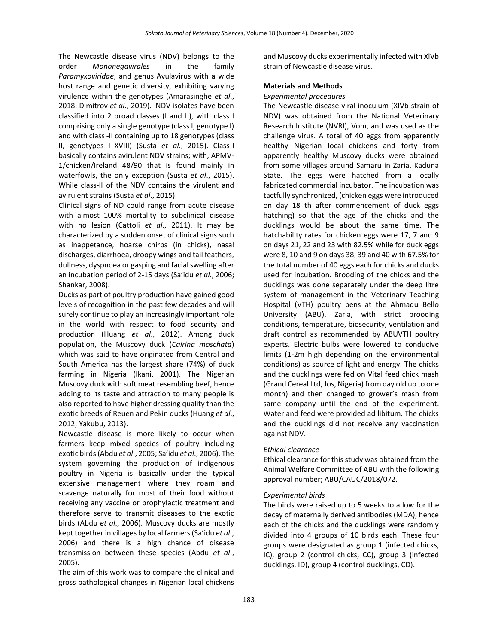The Newcastle disease virus (NDV) belongs to the order *Mononegavirales* in the family *Paramyxoviridae*, and genus Avulavirus with a wide host range and genetic diversity, exhibiting varying virulence within the genotypes (Amarasinghe *et al*., 2018; Dimitrov *et al*., 2019). NDV isolates have been classified into 2 broad classes (I and II), with class I comprising only a single genotype (class I, genotype I) and with class -II containing up to 18 genotypes (class II, genotypes I–XVIII) (Susta *et al*., 2015). Class-I basically contains avirulent NDV strains; with, APMV-1/chicken/Ireland 48/90 that is found mainly in waterfowls, the only exception (Susta *et al*., 2015). While class-II of the NDV contains the virulent and avirulent strains (Susta *et al*., 2015).

Clinical signs of ND could range from acute disease with almost 100% mortality to subclinical disease with no lesion (Cattoli *et al*., 2011). It may be characterized by a sudden onset of clinical signs such as inappetance, hoarse chirps (in chicks), nasal discharges, diarrhoea, droopy wings and tail feathers, dullness, dyspnoea or gasping and facial swelling after an incubation period of 2-15 days (Sa'idu *et al*., 2006; Shankar, 2008).

Ducks as part of poultry production have gained good levels of recognition in the past few decades and will surely continue to play an increasingly important role in the world with respect to food security and production (Huang *et al*., 2012). Among duck population, the Muscovy duck (*Cairina moschata*) which was said to have originated from Central and South America has the largest share (74%) of duck farming in Nigeria (Ikani, 2001). The Nigerian Muscovy duck with soft meat resembling beef, hence adding to its taste and attraction to many people is also reported to have higher dressing quality than the exotic breeds of Reuen and Pekin ducks (Huang *et al*., 2012; Yakubu, 2013).

Newcastle disease is more likely to occur when farmers keep mixed species of poultry including exotic birds (Abdu *et al*., 2005; Sa'idu *et al*., 2006). The system governing the production of indigenous poultry in Nigeria is basically under the typical extensive management where they roam and scavenge naturally for most of their food without receiving any vaccine or prophylactic treatment and therefore serve to transmit diseases to the exotic birds (Abdu *et al*., 2006). Muscovy ducks are mostly kept together in villages by local farmers (Sa'idu *et al*., 2006) and there is a high chance of disease transmission between these species (Abdu *et al*., 2005).

The aim of this work was to compare the clinical and gross pathological changes in Nigerian local chickens and Muscovy ducks experimentally infected with XlVb strain of Newcastle disease virus.

## **Materials and Methods**

#### *Experimental procedures*

The Newcastle disease viral inoculum (XIVb strain of NDV) was obtained from the National Veterinary Research Institute (NVRI), Vom, and was used as the challenge virus. A total of 40 eggs from apparently healthy Nigerian local chickens and forty from apparently healthy Muscovy ducks were obtained from some villages around Samaru in Zaria, Kaduna State. The eggs were hatched from a locally fabricated commercial incubator. The incubation was tactfully synchronized, (chicken eggs were introduced on day 18 th after commencement of duck eggs hatching) so that the age of the chicks and the ducklings would be about the same time. The hatchability rates for chicken eggs were 17, 7 and 9 on days 21, 22 and 23 with 82.5% while for duck eggs were 8, 10 and 9 on days 38, 39 and 40 with 67.5% for the total number of 40 eggs each for chicks and ducks used for incubation. Brooding of the chicks and the ducklings was done separately under the deep litre system of management in the Veterinary Teaching Hospital (VTH) poultry pens at the Ahmadu Bello University (ABU), Zaria, with strict brooding conditions, temperature, biosecurity, ventilation and draft control as recommended by ABUVTH poultry experts. Electric bulbs were lowered to conducive limits (1-2m high depending on the environmental conditions) as source of light and energy. The chicks and the ducklings were fed on Vital feed chick mash (Grand Cereal Ltd, Jos, Nigeria) from day old up to one month) and then changed to grower's mash from same company until the end of the experiment. Water and feed were provided ad libitum. The chicks and the ducklings did not receive any vaccination against NDV.

## *Ethical clearance*

Ethical clearance for this study was obtained from the Animal Welfare Committee of ABU with the following approval number; ABU/CAUC/2018/072.

## *Experimental birds*

The birds were raised up to 5 weeks to allow for the decay of maternally derived antibodies (MDA), hence each of the chicks and the ducklings were randomly divided into 4 groups of 10 birds each. These four groups were designated as group 1 (infected chicks, IC), group 2 (control chicks, CC), group 3 (infected ducklings, ID), group 4 (control ducklings, CD).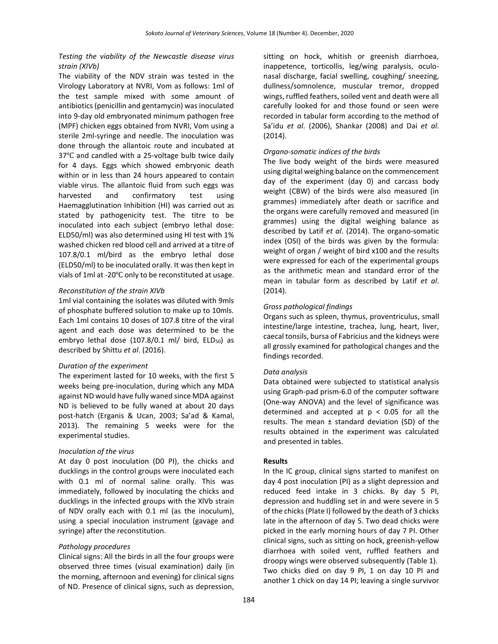## *Testing the viability of the Newcastle disease virus strain (XIVb)*

The viability of the NDV strain was tested in the Virology Laboratory at NVRI, Vom as follows: 1ml of the test sample mixed with some amount of antibiotics (penicillin and gentamycin) was inoculated into 9-day old embryonated minimum pathogen free (MPF) chicken eggs obtained from NVRI, Vom using a sterile 2ml-syringe and needle. The inoculation was done through the allantoic route and incubated at 37℃ and candled with a 25-voltage bulb twice daily for 4 days. Eggs which showed embryonic death within or in less than 24 hours appeared to contain viable virus. The allantoic fluid from such eggs was harvested and confirmatory test using Haemagglutination Inhibition (HI) was carried out as stated by pathogenicity test. The titre to be inoculated into each subject (embryo lethal dose: ELD50/ml) was also determined using HI test with 1% washed chicken red blood cell and arrived at a titre of 107.8/0.1 ml/bird as the embryo lethal dose (ELD50/ml) to be inoculated orally. It was then kept in vials of 1ml at -20℃ only to be reconstituted at usage.

## *Reconstitution of the strain XIVb*

1ml vial containing the isolates was diluted with 9mls of phosphate buffered solution to make up to 10mls. Each 1ml contains 10 doses of 107.8 titre of the viral agent and each dose was determined to be the embryo lethal dose (107.8/0.1 ml/ bird, ELD<sub>50</sub>) as described by Shittu *et al*. (2016).

## *Duration of the experiment*

The experiment lasted for 10 weeks, with the first 5 weeks being pre-inoculation, during which any MDA against ND would have fully waned since MDA against ND is believed to be fully waned at about 20 days post-hatch (Erganis & Ucan, 2003; Sa'ad & Kamal, 2013). The remaining 5 weeks were for the experimental studies.

## *Inoculation of the virus*

At day 0 post inoculation (D0 PI), the chicks and ducklings in the control groups were inoculated each with 0.1 ml of normal saline orally. This was immediately, followed by inoculating the chicks and ducklings in the infected groups with the XlVb strain of NDV orally each with 0.1 ml (as the inoculum), using a special inoculation instrument (gavage and syringe) after the reconstitution.

## *Pathology procedures*

Clinical signs: All the birds in all the four groups were observed three times (visual examination) daily (in the morning, afternoon and evening) for clinical signs of ND. Presence of clinical signs, such as depression, sitting on hock, whitish or greenish diarrhoea, inappetence, torticollis, leg/wing paralysis, oculonasal discharge, facial swelling, coughing/ sneezing, dullness/somnolence, muscular tremor, dropped wings, ruffled feathers, soiled vent and death were all carefully looked for and those found or seen were recorded in tabular form according to the method of Sa'idu *et al*. (2006), Shankar (2008) and Dai *et al*. (2014).

## *Organo-somatic indices of the birds*

The live body weight of the birds were measured using digital weighing balance on the commencement day of the experiment (day 0) and carcass body weight (CBW) of the birds were also measured (in grammes) immediately after death or sacrifice and the organs were carefully removed and measured (in grammes) using the digital weighing balance as described by Latif *et al*. (2014). The organo-somatic index (OSI) of the birds was given by the formula: weight of organ / weight of bird x100 and the results were expressed for each of the experimental groups as the arithmetic mean and standard error of the mean in tabular form as described by Latif *et al*. (2014).

## *Gross pathological findings*

Organs such as spleen, thymus, proventriculus, small intestine/large intestine, trachea, lung, heart, liver, caecal tonsils, bursa of Fabricius and the kidneys were all grossly examined for pathological changes and the findings recorded.

## *Data analysis*

Data obtained were subjected to statistical analysis using Graph-pad prism-6.0 of the computer software (One-way ANOVA) and the level of significance was determined and accepted at  $p < 0.05$  for all the results. The mean  $\pm$  standard deviation (SD) of the results obtained in the experiment was calculated and presented in tables.

## **Results**

In the IC group, clinical signs started to manifest on day 4 post inoculation (PI) as a slight depression and reduced feed intake in 3 chicks. By day 5 PI, depression and huddling set in and were severe in 5 of the chicks (Plate I) followed by the death of 3 chicks late in the afternoon of day 5. Two dead chicks were picked in the early morning hours of day 7 PI. Other clinical signs, such as sitting on hock, greenish-yellow diarrhoea with soiled vent, ruffled feathers and droopy wings were observed subsequently (Table 1). Two chicks died on day 9 PI, 1 on day 10 PI and another 1 chick on day 14 PI; leaving a single survivor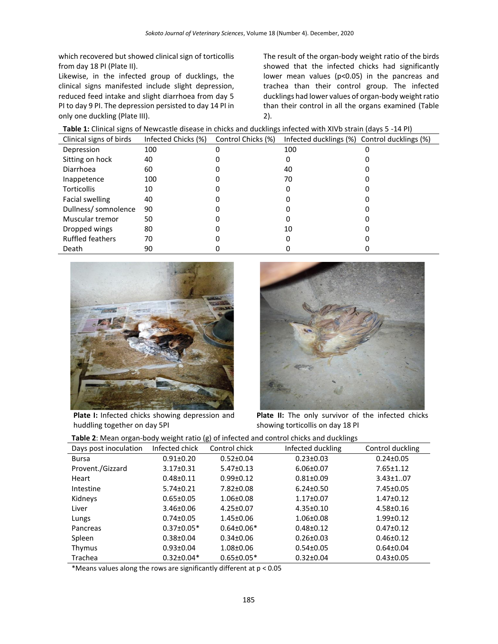which recovered but showed clinical sign of torticollis from day 18 PI (Plate II).

Likewise, in the infected group of ducklings, the clinical signs manifested include slight depression, reduced feed intake and slight diarrhoea from day 5 PI to day 9 PI. The depression persisted to day 14 PI in only one duckling (Plate III).

The result of the organ-body weight ratio of the birds showed that the infected chicks had significantly lower mean values (p<0.05) in the pancreas and trachea than their control group. The infected ducklings had lower values of organ-body weight ratio than their control in all the organs examined (Table 2).

| Table 1: Clinical signs of Newcastle disease in chicks and ducklings infected with XIVb strain (days 5 -14 PI) |  |  |
|----------------------------------------------------------------------------------------------------------------|--|--|
|----------------------------------------------------------------------------------------------------------------|--|--|

| Clinical signs of birds | Infected Chicks (%) | Control Chicks (%) | Infected ducklings (%) Control ducklings (%) |  |
|-------------------------|---------------------|--------------------|----------------------------------------------|--|
| Depression              | 100                 |                    | 100                                          |  |
| Sitting on hock         | 40                  |                    |                                              |  |
| <b>Diarrhoea</b>        | 60                  |                    | 40                                           |  |
| Inappetence             | 100                 |                    | 70                                           |  |
| <b>Torticollis</b>      | 10                  |                    |                                              |  |
| Facial swelling         | 40                  |                    |                                              |  |
| Dullness/ somnolence    | 90                  |                    |                                              |  |
| Muscular tremor         | 50                  |                    |                                              |  |
| Dropped wings           | 80                  |                    | 10                                           |  |
| <b>Ruffled feathers</b> | 70                  |                    |                                              |  |
| Death                   | 90                  |                    |                                              |  |



**Plate I:** Infected chicks showing depression and huddling together on day 5PI



**Plate II:** The only survivor of the infected chicks showing torticollis on day 18 PI

| Table 2: Mean organ-body weight ratio (g) of infected and control chicks and ducklings |
|----------------------------------------------------------------------------------------|
|----------------------------------------------------------------------------------------|

| Days post inoculation | Infected chick   | Control chick    | Infected duckling | Control duckling |
|-----------------------|------------------|------------------|-------------------|------------------|
| <b>Bursa</b>          | $0.91 \pm 0.20$  | $0.52 \pm 0.04$  | $0.23 \pm 0.03$   | $0.24 \pm 0.05$  |
| Provent./Gizzard      | $3.17 \pm 0.31$  | $5.47 \pm 0.13$  | $6.06 \pm 0.07$   | $7.65 \pm 1.12$  |
| Heart                 | $0.48 \pm 0.11$  | $0.99 \pm 0.12$  | $0.81 \pm 0.09$   | $3.43 \pm 1.07$  |
| Intestine             | $5.74 \pm 0.21$  | $7.82 \pm 0.08$  | $6.24 \pm 0.50$   | $7.45 \pm 0.05$  |
| Kidneys               | $0.65 \pm 0.05$  | 1.06±0.08        | $1.17 \pm 0.07$   | $1.47 \pm 0.12$  |
| Liver                 | $3.46 \pm 0.06$  | $4.25 \pm 0.07$  | $4.35 \pm 0.10$   | $4.58 \pm 0.16$  |
| Lungs                 | $0.74 \pm 0.05$  | $1.45 \pm 0.06$  | $1.06 \pm 0.08$   | $1.99 \pm 0.12$  |
| Pancreas              | $0.37 \pm 0.05*$ | $0.64 \pm 0.06*$ | $0.48 + 0.12$     | $0.47 \pm 0.12$  |
| Spleen                | $0.38 \pm 0.04$  | $0.34 \pm 0.06$  | $0.26 \pm 0.03$   | $0.46 \pm 0.12$  |
| Thymus                | $0.93 \pm 0.04$  | 1.08±0.06        | $0.54 \pm 0.05$   | $0.64 \pm 0.04$  |
| Trachea               | $0.32 \pm 0.04*$ | $0.65 \pm 0.05*$ | $0.32 \pm 0.04$   | $0.43 \pm 0.05$  |

\*Means values along the rows are significantly different at p < 0.05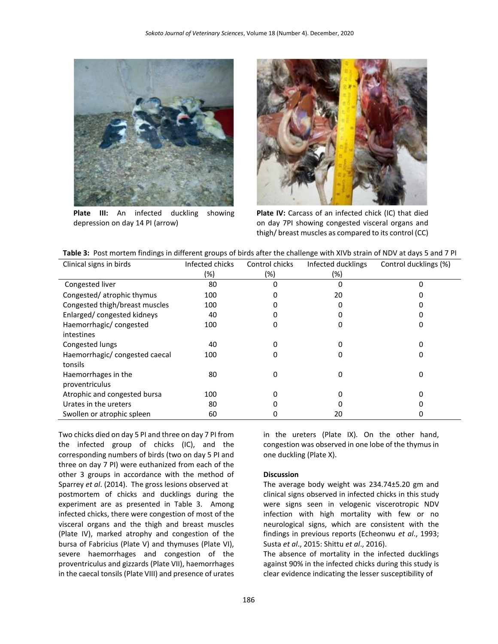

**Plate III:** An infected duckling showing depression on day 14 PI (arrow)



**Plate IV:** Carcass of an infected chick (IC) that died on day 7PI showing congested visceral organs and thigh/ breast muscles as compared to its control (CC)

|  |  |  |  | Table 3: Post mortem findings in different groups of birds after the challenge with XIVb strain of NDV at days 5 and 7 PI |
|--|--|--|--|---------------------------------------------------------------------------------------------------------------------------|
|--|--|--|--|---------------------------------------------------------------------------------------------------------------------------|

| Clinical signs in birds        | Infected chicks | Control chicks | Infected ducklings | Control ducklings (%) |
|--------------------------------|-----------------|----------------|--------------------|-----------------------|
|                                | (%)             | (%)            | (%)                |                       |
| Congested liver                | 80              | 0              | 0                  |                       |
| Congested/atrophic thymus      | 100             |                | 20                 |                       |
| Congested thigh/breast muscles | 100             |                | 0                  |                       |
| Enlarged/congested kidneys     | 40              |                | 0                  |                       |
| Haemorrhagic/congested         | 100             |                | 0                  |                       |
| intestines                     |                 |                |                    |                       |
| Congested lungs                | 40              | 0              | 0                  |                       |
| Haemorrhagic/ congested caecal | 100             | 0              | 0                  | Ω                     |
| tonsils                        |                 |                |                    |                       |
| Haemorrhages in the            | 80              | 0              | 0                  | 0                     |
| proventriculus                 |                 |                |                    |                       |
| Atrophic and congested bursa   | 100             |                | 0                  |                       |
| Urates in the ureters          | 80              |                | 0                  |                       |
| Swollen or atrophic spleen     | 60              |                | 20                 |                       |

Two chicks died on day 5 PI and three on day 7 PI from the infected group of chicks (IC), and the corresponding numbers of birds (two on day 5 PI and three on day 7 PI) were euthanized from each of the other 3 groups in accordance with the method of Sparrey *et al*. (2014). The gross lesions observed at postmortem of chicks and ducklings during the experiment are as presented in Table 3. Among infected chicks, there were congestion of most of the visceral organs and the thigh and breast muscles (Plate IV), marked atrophy and congestion of the bursa of Fabricius (Plate V) and thymuses (Plate VI), severe haemorrhages and congestion of the proventriculus and gizzards (Plate VII), haemorrhages in the caecal tonsils (Plate VIII) and presence of urates

in the ureters (Plate IX). On the other hand, congestion was observed in one lobe of the thymus in one duckling (Plate X).

#### **Discussion**

The average body weight was 234.74±5.20 gm and clinical signs observed in infected chicks in this study were signs seen in velogenic viscerotropic NDV infection with high mortality with few or no neurological signs, which are consistent with the findings in previous reports (Echeonwu *et al*., 1993; Susta *et al*., 2015: Shittu *et al*., 2016).

The absence of mortality in the infected ducklings against 90% in the infected chicks during this study is clear evidence indicating the lesser susceptibility of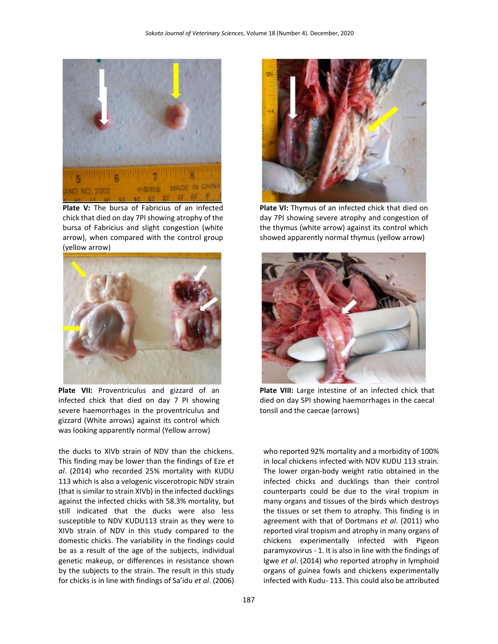

**Plate V:** The bursa of Fabricius of an infected chick that died on day 7PI showing atrophy of the bursa of Fabricius and slight congestion (white arrow), when compared with the control group (yellow arrow)



**Plate VII:** Proventriculus and gizzard of an infected chick that died on day 7 PI showing severe haemorrhages in the proventriculus and gizzard (White arrows) against its control which was looking apparently normal (Yellow arrow)

the ducks to XIVb strain of NDV than the chickens. This finding may be lower than the findings of Eze *et al*. (2014) who recorded 25% mortality with KUDU 113 which is also a velogenic viscerotropic NDV strain (that is similar to strain XIVb) in the infected ducklings against the infected chicks with 58.3% mortality, but still indicated that the ducks were also less susceptible to NDV KUDU113 strain as they were to XIVb strain of NDV in this study compared to the domestic chicks. The variability in the findings could be as a result of the age of the subjects, individual genetic makeup, or differences in resistance shown by the subjects to the strain. The result in this study for chicks is in line with findings of Sa'idu *et al*. (2006)



**Plate VI:** Thymus of an infected chick that died on day 7PI showing severe atrophy and congestion of the thymus (white arrow) against its control which showed apparently normal thymus (yellow arrow)



**Plate VIII:** Large intestine of an infected chick that died on day 5PI showing haemorrhages in the caecal tonsil and the caecae (arrows)

who reported 92% mortality and a morbidity of 100% in local chickens infected with NDV KUDU 113 strain. The lower organ-body weight ratio obtained in the infected chicks and ducklings than their control counterparts could be due to the viral tropism in many organs and tissues of the birds which destroys the tissues or set them to atrophy. This finding is in agreement with that of Dortmans *et al*. (2011) who reported viral tropism and atrophy in many organs of chickens experimentally infected with Pigeon paramyxovirus - 1. It is also in line with the findings of Igwe *et al*. (2014) who reported atrophy in lymphoid organs of guinea fowls and chickens experimentally infected with Kudu- 113. This could also be attributed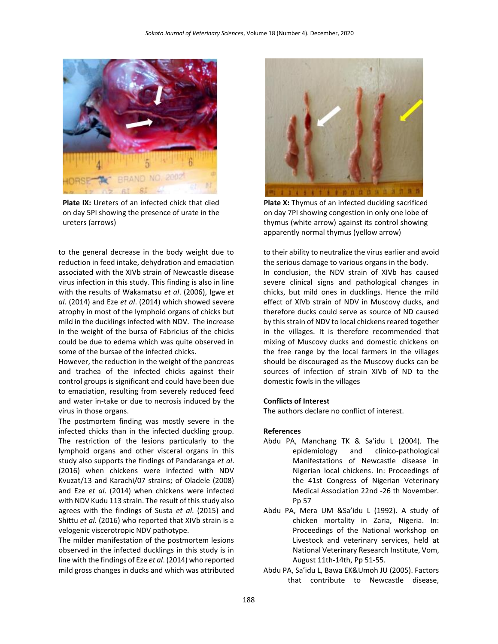

**Plate IX:** Ureters of an infected chick that died on day 5PI showing the presence of urate in the ureters (arrows)

to the general decrease in the body weight due to reduction in feed intake, dehydration and emaciation associated with the XIVb strain of Newcastle disease virus infection in this study. This finding is also in line with the results of Wakamatsu *et al*. (2006), Igwe *et al*. (2014) and Eze *et al*. (2014) which showed severe atrophy in most of the lymphoid organs of chicks but mild in the ducklings infected with NDV. The increase in the weight of the bursa of Fabricius of the chicks could be due to edema which was quite observed in some of the bursae of the infected chicks.

However, the reduction in the weight of the pancreas and trachea of the infected chicks against their control groups is significant and could have been due to emaciation, resulting from severely reduced feed and water in-take or due to necrosis induced by the virus in those organs.

The postmortem finding was mostly severe in the infected chicks than in the infected duckling group. The restriction of the lesions particularly to the lymphoid organs and other visceral organs in this study also supports the findings of Pandaranga *et al*. (2016) when chickens were infected with NDV Kvuzat/13 and Karachi/07 strains; of Oladele (2008) and Eze *et al*. (2014) when chickens were infected with NDV Kudu 113 strain. The result of this study also agrees with the findings of Susta *et al*. (2015) and Shittu *et al*. (2016) who reported that XIVb strain is a velogenic viscerotropic NDV pathotype.

The milder manifestation of the postmortem lesions observed in the infected ducklings in this study is in line with the findings of Eze *et al*. (2014) who reported mild gross changes in ducks and which was attributed



**Plate X:** Thymus of an infected duckling sacrificed on day 7PI showing congestion in only one lobe of thymus (white arrow) against its control showing apparently normal thymus (yellow arrow)

to their ability to neutralize the virus earlier and avoid the serious damage to various organs in the body. In conclusion, the NDV strain of XIVb has caused severe clinical signs and pathological changes in chicks, but mild ones in ducklings. Hence the mild effect of XIVb strain of NDV in Muscovy ducks, and therefore ducks could serve as source of ND caused by this strain of NDV to local chickens reared together in the villages. It is therefore recommended that mixing of Muscovy ducks and domestic chickens on the free range by the local farmers in the villages should be discouraged as the Muscovy ducks can be sources of infection of strain XIVb of ND to the domestic fowls in the villages

#### **Conflicts of Interest**

The authors declare no conflict of interest.

#### **References**

- Abdu PA, Manchang TK & Sa'idu L (2004). The epidemiology and clinico-pathological Manifestations of Newcastle disease in Nigerian local chickens. In: Proceedings of the 41st Congress of Nigerian Veterinary Medical Association 22nd -26 th November. Pp 57
- Abdu PA, Mera UM &Sa'idu L (1992). A study of chicken mortality in Zaria, Nigeria. In: Proceedings of the National workshop on Livestock and veterinary services, held at National Veterinary Research Institute, Vom, August 11th-14th, Pp 51-55.
- Abdu PA, Sa'idu L, Bawa EK&Umoh JU (2005). Factors that contribute to Newcastle disease,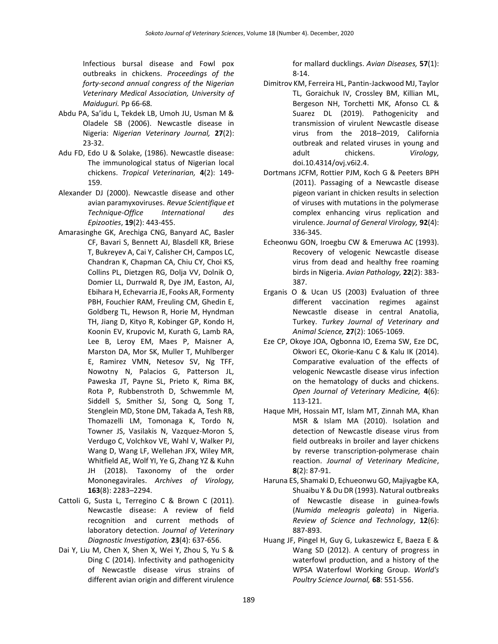Infectious bursal disease and Fowl pox outbreaks in chickens. *Proceedings of the forty-second annual congress of the Nigerian Veterinary Medical Association, University of Maiduguri.* Pp 66-68*.* 

- Abdu PA, Sa'idu L, Tekdek LB, Umoh JU, Usman M & Oladele SB (2006). Newcastle disease in Nigeria: *Nigerian Veterinary Journal,* **27**(2): 23-32.
- Adu FD, Edo U & Solake, (1986). Newcastle disease: The immunological status of Nigerian local chickens. *Tropical Veterinarian,* **4**(2): 149- 159.
- Alexander DJ (2000). Newcastle disease and other avian paramyxoviruses. *Revue Scientifique et Technique-Office International des Epizooties*, **19**(2): 443-455.
- Amarasinghe GK, Arechiga CNG, Banyard AC, Basler CF, Bavari S, Bennett AJ, Blasdell KR, Briese T, Bukreyev A, Cai Y, Calisher CH, Campos LC, Chandran K, Chapman CA, Chiu CY, Choi KS, Collins PL, Dietzgen RG, Dolja VV, Dolnik O, Domier LL, Durrwald R, Dye JM, Easton, AJ, Ebihara H, Echevarria JE, Fooks AR, Formenty PBH, Fouchier RAM, Freuling CM, Ghedin E, Goldberg TL, Hewson R, Horie M, Hyndman TH, Jiang D, Kityo R, Kobinger GP, Kondo H, Koonin EV, Krupovic M, Kurath G, Lamb RA, Lee B, Leroy EM, Maes P, Maisner A, Marston DA, Mor SK, Muller T, Muhlberger E, Ramirez VMN, Netesov SV, Ng TFF, Nowotny N, Palacios G, Patterson JL, Paweska JT, Payne SL, Prieto K, Rima BK, Rota P, Rubbenstroth D, Schwemmle M, Siddell S, Smither SJ, Song Q, Song T, Stenglein MD, Stone DM, Takada A, Tesh RB, Thomazelli LM, Tomonaga K, Tordo N, Towner JS, Vasilakis N, Vazquez-Moron S, Verdugo C, Volchkov VE, Wahl V, Walker PJ, Wang D, Wang LF, Wellehan JFX, Wiley MR, Whitfield AE, Wolf YI, Ye G, Zhang YZ & Kuhn JH (2018). Taxonomy of the order Mononegavirales. *Archives of Virology,* **163**(8): 2283–2294.
- Cattoli G, Susta L, Terregino C & Brown C (2011). Newcastle disease: A review of field recognition and current methods of laboratory detection. *Journal of Veterinary Diagnostic Investigation,* **23**(4): 637-656.
- Dai Y, Liu M, Chen X, Shen X, Wei Y, Zhou S, Yu S & Ding C (2014). Infectivity and pathogenicity of Newcastle disease virus strains of different avian origin and different virulence

for mallard ducklings. *Avian Diseases,* **57**(1): 8-14.

- Dimitrov KM, Ferreira HL, Pantin-Jackwood MJ, Taylor TL, Goraichuk IV, Crossley BM, Killian ML, Bergeson NH, Torchetti MK, Afonso CL & Suarez DL (2019). Pathogenicity and transmission of virulent Newcastle disease virus from the 2018–2019, California outbreak and related viruses in young and adult chickens. *Virology,* doi.10.4314/ovj.v6i2.4.
- Dortmans JCFM, Rottier PJM, Koch G & Peeters BPH (2011). Passaging of a Newcastle disease pigeon variant in chicken results in selection of viruses with mutations in the polymerase complex enhancing virus replication and virulence. *Journal of General Virology,* **92**(4): 336-345.
- Echeonwu GON, Iroegbu CW & Emeruwa AC (1993). Recovery of velogenic Newcastle disease virus from dead and healthy free roaming birds in Nigeria. *Avian Pathology,* **22**(2): 383- 387.
- Erganis O & Ucan US (2003) Evaluation of three different vaccination regimes against Newcastle disease in central Anatolia, Turkey. *Turkey Journal of Veterinary and Animal Science,* **27**(2): 1065-1069.
- Eze CP, Okoye JOA, Ogbonna IO, Ezema SW, Eze DC, Okwori EC, Okorie-Kanu C & Kalu IK (2014). Comparative evaluation of the effects of velogenic Newcastle disease virus infection on the hematology of ducks and chickens. *Open Journal of Veterinary Medicine,* **4**(6): 113-121.
- Haque MH, Hossain MT, Islam MT, Zinnah MA, Khan MSR & Islam MA (2010). Isolation and detection of Newcastle disease virus from field outbreaks in broiler and layer chickens by reverse transcription-polymerase chain reaction. *Journal of Veterinary Medicine*, **8**(2): 87-91.
- Haruna ES, Shamaki D, Echueonwu GO, Majiyagbe KA, Shuaibu Y & Du DR (1993). Natural outbreaks of Newcastle disease in guinea-fowls (*Numida meleagris galeata*) in Nigeria. *Review of Science and Technology*, **12**(6): 887-893.
- Huang JF, Pingel H, Guy G, Lukaszewicz E, Baeza E & Wang SD (2012). A century of progress in waterfowl production, and a history of the WPSA Waterfowl Working Group. *World's Poultry Science Journal,* **68**: 551-556.